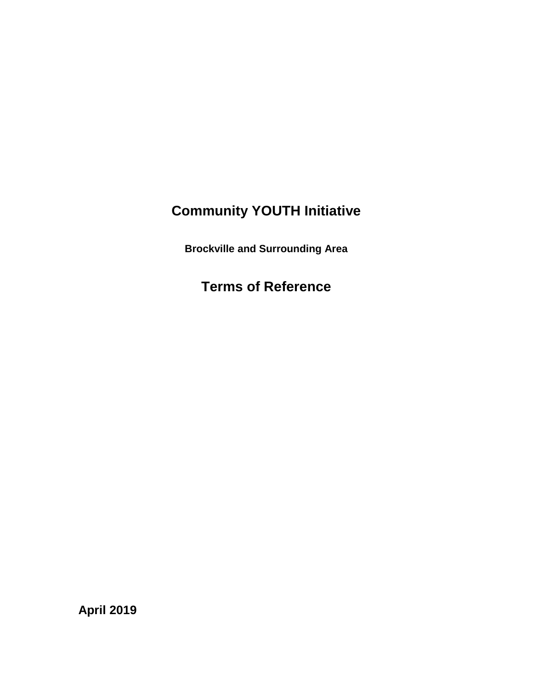# **Community YOUTH Initiative**

**Brockville and Surrounding Area**

**Terms of Reference**

**April 2019**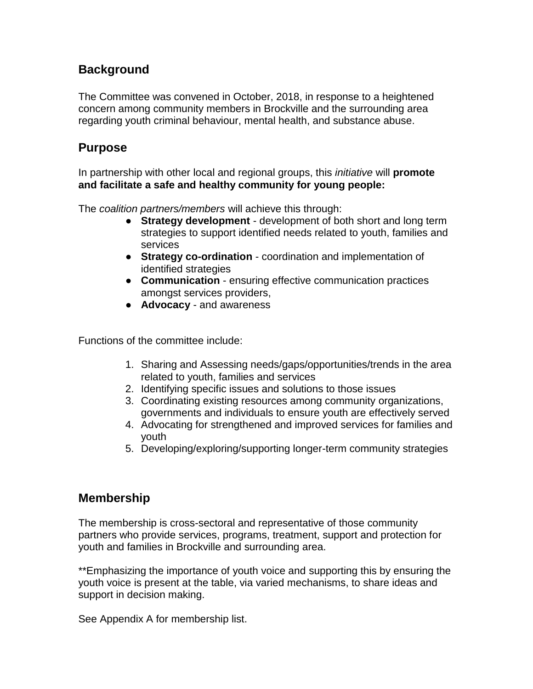# **Background**

The Committee was convened in October, 2018, in response to a heightened concern among community members in Brockville and the surrounding area regarding youth criminal behaviour, mental health, and substance abuse.

# **Purpose**

In partnership with other local and regional groups, this *initiative* will **promote and facilitate a safe and healthy community for young people:** 

The *coalition partners/members* will achieve this through:

- **Strategy development** development of both short and long term strategies to support identified needs related to youth, families and services
- **Strategy co-ordination** coordination and implementation of identified strategies
- **Communication** ensuring effective communication practices amongst services providers,
- **Advocacy** and awareness

Functions of the committee include:

- 1. Sharing and Assessing needs/gaps/opportunities/trends in the area related to youth, families and services
- 2. Identifying specific issues and solutions to those issues
- 3. Coordinating existing resources among community organizations, governments and individuals to ensure youth are effectively served
- 4. Advocating for strengthened and improved services for families and youth
- 5. Developing/exploring/supporting longer-term community strategies

# **Membership**

The membership is cross-sectoral and representative of those community partners who provide services, programs, treatment, support and protection for youth and families in Brockville and surrounding area.

\*\*Emphasizing the importance of youth voice and supporting this by ensuring the youth voice is present at the table, via varied mechanisms, to share ideas and support in decision making.

See Appendix A for membership list.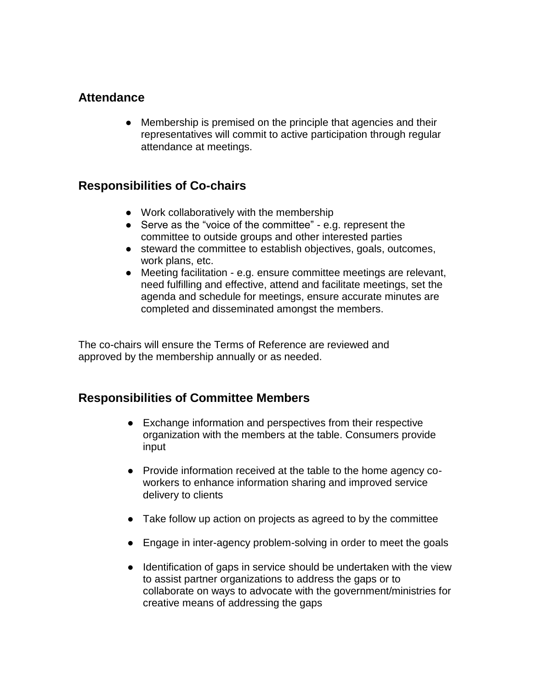### **Attendance**

● Membership is premised on the principle that agencies and their representatives will commit to active participation through regular attendance at meetings.

#### **Responsibilities of Co-chairs**

- Work collaboratively with the membership
- Serve as the "voice of the committee" e.g. represent the committee to outside groups and other interested parties
- steward the committee to establish objectives, goals, outcomes, work plans, etc.
- Meeting facilitation e.g. ensure committee meetings are relevant, need fulfilling and effective, attend and facilitate meetings, set the agenda and schedule for meetings, ensure accurate minutes are completed and disseminated amongst the members.

The co-chairs will ensure the Terms of Reference are reviewed and approved by the membership annually or as needed.

## **Responsibilities of Committee Members**

- Exchange information and perspectives from their respective organization with the members at the table. Consumers provide input
- Provide information received at the table to the home agency coworkers to enhance information sharing and improved service delivery to clients
- Take follow up action on projects as agreed to by the committee
- Engage in inter-agency problem-solving in order to meet the goals
- Identification of gaps in service should be undertaken with the view to assist partner organizations to address the gaps or to collaborate on ways to advocate with the government/ministries for creative means of addressing the gaps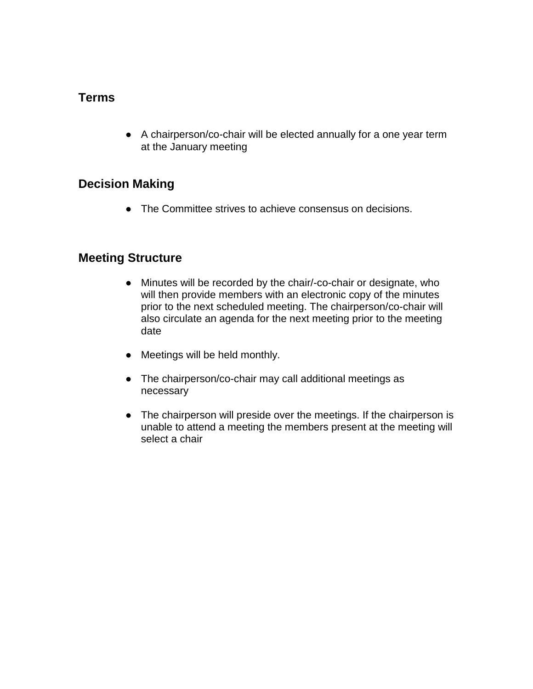### **Terms**

● A chairperson/co-chair will be elected annually for a one year term at the January meeting

### **Decision Making**

● The Committee strives to achieve consensus on decisions.

#### **Meeting Structure**

- Minutes will be recorded by the chair/-co-chair or designate, who will then provide members with an electronic copy of the minutes prior to the next scheduled meeting. The chairperson/co-chair will also circulate an agenda for the next meeting prior to the meeting date
- Meetings will be held monthly.
- The chairperson/co-chair may call additional meetings as necessary
- The chairperson will preside over the meetings. If the chairperson is unable to attend a meeting the members present at the meeting will select a chair